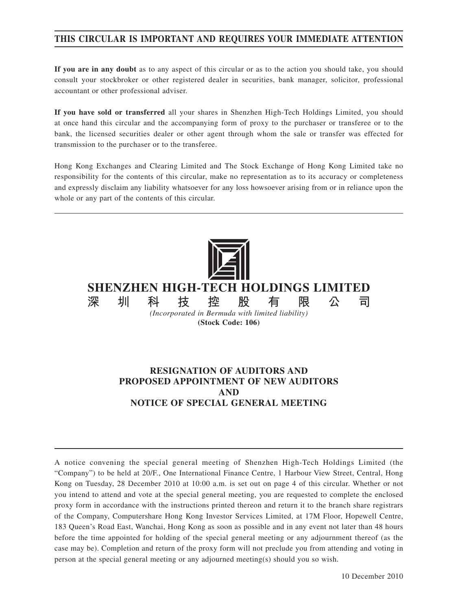# **THIS CIRCULAR IS IMPORTANT AND REQUIRES YOUR IMMEDIATE ATTENTION**

**If you are in any doubt** as to any aspect of this circular or as to the action you should take, you should consult your stockbroker or other registered dealer in securities, bank manager, solicitor, professional accountant or other professional adviser.

**If you have sold or transferred** all your shares in Shenzhen High-Tech Holdings Limited, you should at once hand this circular and the accompanying form of proxy to the purchaser or transferee or to the bank, the licensed securities dealer or other agent through whom the sale or transfer was effected for transmission to the purchaser or to the transferee.

Hong Kong Exchanges and Clearing Limited and The Stock Exchange of Hong Kong Limited take no responsibility for the contents of this circular, make no representation as to its accuracy or completeness and expressly disclaim any liability whatsoever for any loss howsoever arising from or in reliance upon the whole or any part of the contents of this circular.



**(Stock Code: 106)**

# **RESIGNATION OF AUDITORS AND PROPOSED APPOINTMENT OF NEW AUDITORS AND NOTICE OF SPECIAL GENERAL MEETING**

A notice convening the special general meeting of Shenzhen High-Tech Holdings Limited (the "Company") to be held at 20/F., One International Finance Centre, 1 Harbour View Street, Central, Hong Kong on Tuesday, 28 December 2010 at 10:00 a.m. is set out on page 4 of this circular. Whether or not you intend to attend and vote at the special general meeting, you are requested to complete the enclosed proxy form in accordance with the instructions printed thereon and return it to the branch share registrars of the Company, Computershare Hong Kong Investor Services Limited, at 17M Floor, Hopewell Centre, 183 Queen's Road East, Wanchai, Hong Kong as soon as possible and in any event not later than 48 hours before the time appointed for holding of the special general meeting or any adjournment thereof (as the case may be). Completion and return of the proxy form will not preclude you from attending and voting in person at the special general meeting or any adjourned meeting(s) should you so wish.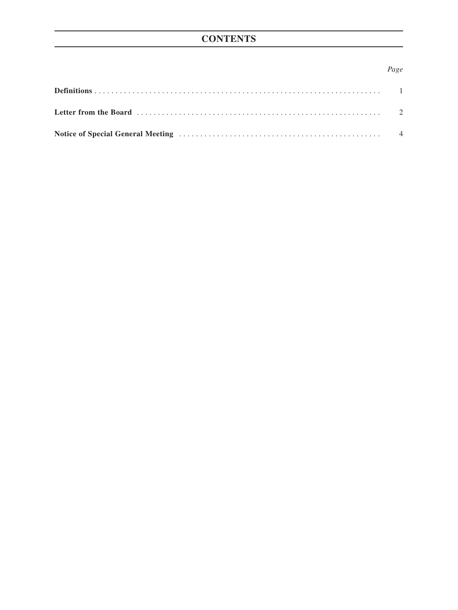# **CONTENTS**

### Page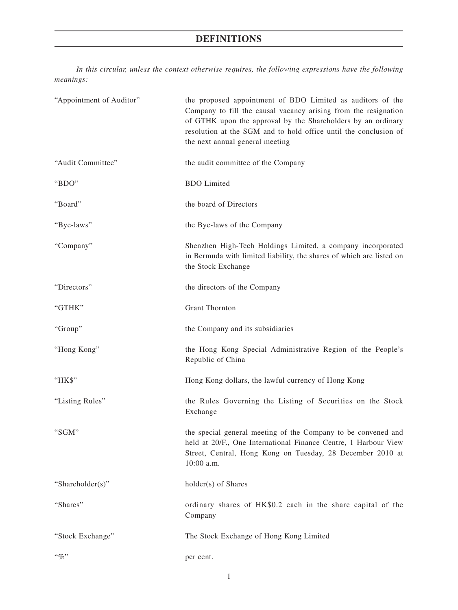# **DEFINITIONS**

*In this circular, unless the context otherwise requires, the following expressions have the following meanings:*

| "Appointment of Auditor" | the proposed appointment of BDO Limited as auditors of the<br>Company to fill the causal vacancy arising from the resignation<br>of GTHK upon the approval by the Shareholders by an ordinary<br>resolution at the SGM and to hold office until the conclusion of<br>the next annual general meeting |
|--------------------------|------------------------------------------------------------------------------------------------------------------------------------------------------------------------------------------------------------------------------------------------------------------------------------------------------|
| "Audit Committee"        | the audit committee of the Company                                                                                                                                                                                                                                                                   |
| "BDO"                    | <b>BDO</b> Limited                                                                                                                                                                                                                                                                                   |
| "Board"                  | the board of Directors                                                                                                                                                                                                                                                                               |
| "Bye-laws"               | the Bye-laws of the Company                                                                                                                                                                                                                                                                          |
| "Company"                | Shenzhen High-Tech Holdings Limited, a company incorporated<br>in Bermuda with limited liability, the shares of which are listed on<br>the Stock Exchange                                                                                                                                            |
| "Directors"              | the directors of the Company                                                                                                                                                                                                                                                                         |
| "GTHK"                   | <b>Grant Thornton</b>                                                                                                                                                                                                                                                                                |
| "Group"                  | the Company and its subsidiaries                                                                                                                                                                                                                                                                     |
| "Hong Kong"              | the Hong Kong Special Administrative Region of the People's<br>Republic of China                                                                                                                                                                                                                     |
| "HK\$"                   | Hong Kong dollars, the lawful currency of Hong Kong                                                                                                                                                                                                                                                  |
| "Listing Rules"          | the Rules Governing the Listing of Securities on the Stock<br>Exchange                                                                                                                                                                                                                               |
| "SGM"                    | the special general meeting of the Company to be convened and<br>held at 20/F., One International Finance Centre, 1 Harbour View<br>Street, Central, Hong Kong on Tuesday, 28 December 2010 at<br>10:00 a.m.                                                                                         |
| "Shareholder(s)"         | holder(s) of Shares                                                                                                                                                                                                                                                                                  |
| "Shares"                 | ordinary shares of HK\$0.2 each in the share capital of the<br>Company                                                                                                                                                                                                                               |
| "Stock Exchange"         | The Stock Exchange of Hong Kong Limited                                                                                                                                                                                                                                                              |
| $``q_0"$                 | per cent.                                                                                                                                                                                                                                                                                            |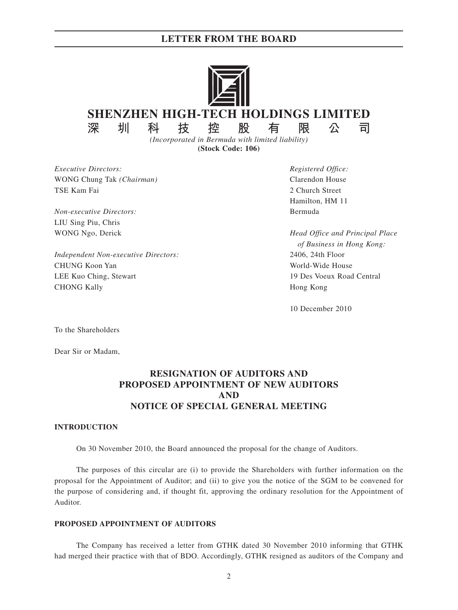### **LETTER FROM THE BOARD**



*(Incorporated in Bermuda with limited liability)* **(Stock Code: 106)**

*Executive Directors: Registered Office:* WONG Chung Tak *(Chairman)* Clarendon House TSE Kam Fai 2 Church Street

*Non-executive Directors:* Bermuda LIU Sing Piu, Chris

*Independent Non-executive Directors:* 2406, 24th Floor CHUNG Koon Yan World-Wide House LEE Kuo Ching, Stewart 19 Des Voeux Road Central CHONG Kally **Hong Kong** 

Hamilton, HM 11

WONG Ngo, Derick *Head Office and Principal Place of Business in Hong Kong:*

10 December 2010

To the Shareholders

Dear Sir or Madam,

## **RESIGNATION OF AUDITORS AND PROPOSED APPOINTMENT OF NEW AUDITORS AND NOTICE OF SPECIAL GENERAL MEETING**

#### **INTRODUCTION**

On 30 November 2010, the Board announced the proposal for the change of Auditors.

The purposes of this circular are (i) to provide the Shareholders with further information on the proposal for the Appointment of Auditor; and (ii) to give you the notice of the SGM to be convened for the purpose of considering and, if thought fit, approving the ordinary resolution for the Appointment of Auditor.

### **PROPOSED APPOINTMENT OF AUDITORS**

The Company has received a letter from GTHK dated 30 November 2010 informing that GTHK had merged their practice with that of BDO. Accordingly, GTHK resigned as auditors of the Company and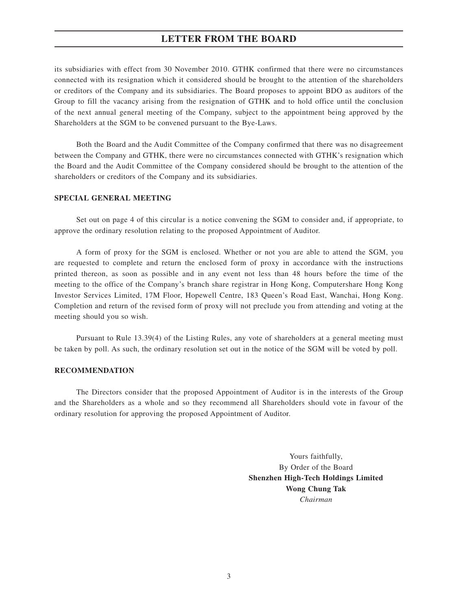### **LETTER FROM THE BOARD**

its subsidiaries with effect from 30 November 2010. GTHK confirmed that there were no circumstances connected with its resignation which it considered should be brought to the attention of the shareholders or creditors of the Company and its subsidiaries. The Board proposes to appoint BDO as auditors of the Group to fill the vacancy arising from the resignation of GTHK and to hold office until the conclusion of the next annual general meeting of the Company, subject to the appointment being approved by the Shareholders at the SGM to be convened pursuant to the Bye-Laws.

Both the Board and the Audit Committee of the Company confirmed that there was no disagreement between the Company and GTHK, there were no circumstances connected with GTHK's resignation which the Board and the Audit Committee of the Company considered should be brought to the attention of the shareholders or creditors of the Company and its subsidiaries.

#### **SPECIAL GENERAL MEETING**

Set out on page 4 of this circular is a notice convening the SGM to consider and, if appropriate, to approve the ordinary resolution relating to the proposed Appointment of Auditor.

A form of proxy for the SGM is enclosed. Whether or not you are able to attend the SGM, you are requested to complete and return the enclosed form of proxy in accordance with the instructions printed thereon, as soon as possible and in any event not less than 48 hours before the time of the meeting to the office of the Company's branch share registrar in Hong Kong, Computershare Hong Kong Investor Services Limited, 17M Floor, Hopewell Centre, 183 Queen's Road East, Wanchai, Hong Kong. Completion and return of the revised form of proxy will not preclude you from attending and voting at the meeting should you so wish.

Pursuant to Rule 13.39(4) of the Listing Rules, any vote of shareholders at a general meeting must be taken by poll. As such, the ordinary resolution set out in the notice of the SGM will be voted by poll.

#### **RECOMMENDATION**

The Directors consider that the proposed Appointment of Auditor is in the interests of the Group and the Shareholders as a whole and so they recommend all Shareholders should vote in favour of the ordinary resolution for approving the proposed Appointment of Auditor.

> Yours faithfully, By Order of the Board **Shenzhen High-Tech Holdings Limited Wong Chung Tak** *Chairman*